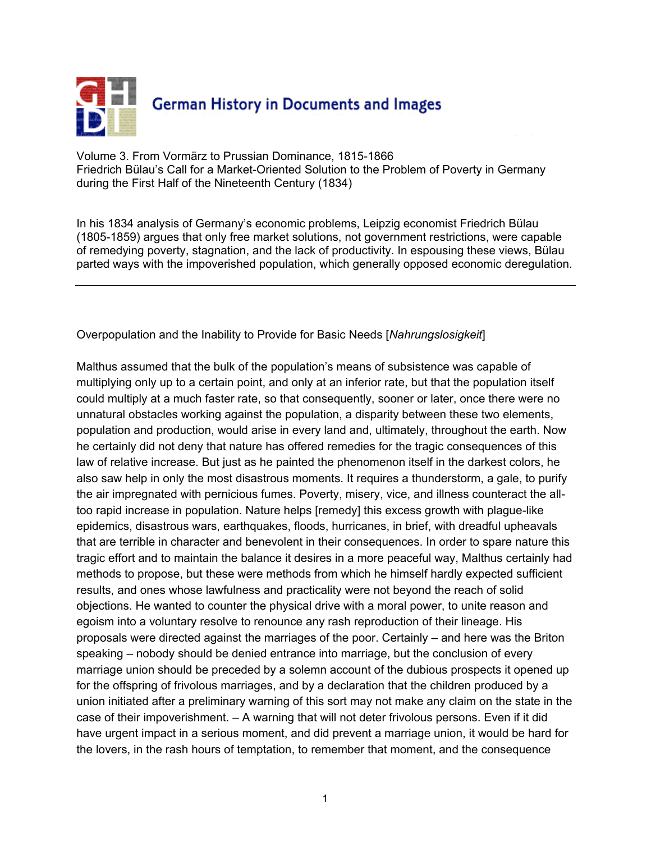

Volume 3. From Vormärz to Prussian Dominance, 1815-1866 Friedrich Bülau's Call for a Market-Oriented Solution to the Problem of Poverty in Germany during the First Half of the Nineteenth Century (1834)

In his 1834 analysis of Germany's economic problems, Leipzig economist Friedrich Bülau (1805-1859) argues that only free market solutions, not government restrictions, were capable of remedying poverty, stagnation, and the lack of productivity. In espousing these views, Bülau parted ways with the impoverished population, which generally opposed economic deregulation.

## Overpopulation and the Inability to Provide for Basic Needs [*Nahrungslosigkeit*]

Malthus assumed that the bulk of the population's means of subsistence was capable of multiplying only up to a certain point, and only at an inferior rate, but that the population itself could multiply at a much faster rate, so that consequently, sooner or later, once there were no unnatural obstacles working against the population, a disparity between these two elements, population and production, would arise in every land and, ultimately, throughout the earth. Now he certainly did not deny that nature has offered remedies for the tragic consequences of this law of relative increase. But just as he painted the phenomenon itself in the darkest colors, he also saw help in only the most disastrous moments. It requires a thunderstorm, a gale, to purify the air impregnated with pernicious fumes. Poverty, misery, vice, and illness counteract the alltoo rapid increase in population. Nature helps [remedy] this excess growth with plague-like epidemics, disastrous wars, earthquakes, floods, hurricanes, in brief, with dreadful upheavals that are terrible in character and benevolent in their consequences. In order to spare nature this tragic effort and to maintain the balance it desires in a more peaceful way, Malthus certainly had methods to propose, but these were methods from which he himself hardly expected sufficient results, and ones whose lawfulness and practicality were not beyond the reach of solid objections. He wanted to counter the physical drive with a moral power, to unite reason and egoism into a voluntary resolve to renounce any rash reproduction of their lineage. His proposals were directed against the marriages of the poor. Certainly – and here was the Briton speaking – nobody should be denied entrance into marriage, but the conclusion of every marriage union should be preceded by a solemn account of the dubious prospects it opened up for the offspring of frivolous marriages, and by a declaration that the children produced by a union initiated after a preliminary warning of this sort may not make any claim on the state in the case of their impoverishment. – A warning that will not deter frivolous persons. Even if it did have urgent impact in a serious moment, and did prevent a marriage union, it would be hard for the lovers, in the rash hours of temptation, to remember that moment, and the consequence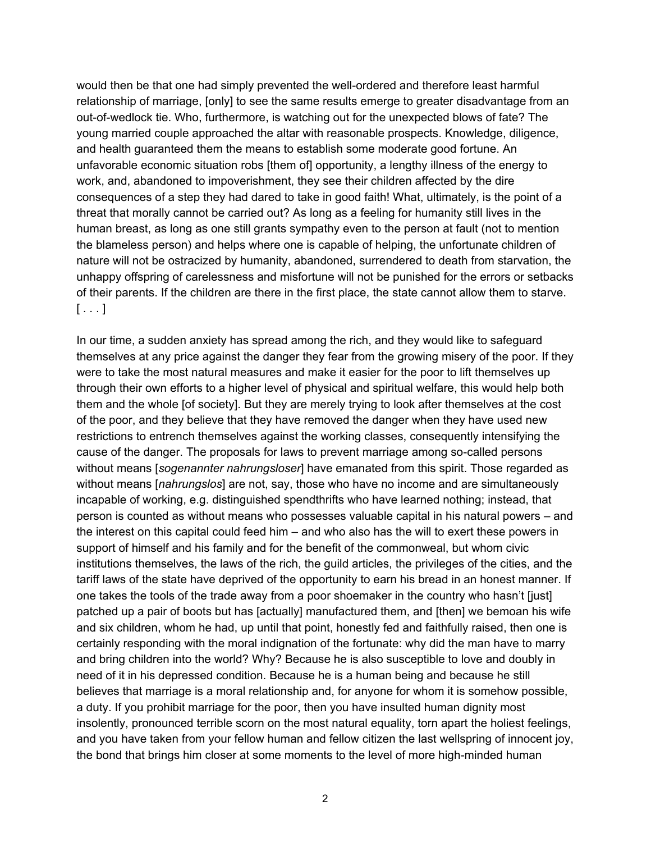would then be that one had simply prevented the well-ordered and therefore least harmful relationship of marriage, [only] to see the same results emerge to greater disadvantage from an out-of-wedlock tie. Who, furthermore, is watching out for the unexpected blows of fate? The young married couple approached the altar with reasonable prospects. Knowledge, diligence, and health guaranteed them the means to establish some moderate good fortune. An unfavorable economic situation robs [them of] opportunity, a lengthy illness of the energy to work, and, abandoned to impoverishment, they see their children affected by the dire consequences of a step they had dared to take in good faith! What, ultimately, is the point of a threat that morally cannot be carried out? As long as a feeling for humanity still lives in the human breast, as long as one still grants sympathy even to the person at fault (not to mention the blameless person) and helps where one is capable of helping, the unfortunate children of nature will not be ostracized by humanity, abandoned, surrendered to death from starvation, the unhappy offspring of carelessness and misfortune will not be punished for the errors or setbacks of their parents. If the children are there in the first place, the state cannot allow them to starve.  $[\ldots]$ 

In our time, a sudden anxiety has spread among the rich, and they would like to safeguard themselves at any price against the danger they fear from the growing misery of the poor. If they were to take the most natural measures and make it easier for the poor to lift themselves up through their own efforts to a higher level of physical and spiritual welfare, this would help both them and the whole [of society]. But they are merely trying to look after themselves at the cost of the poor, and they believe that they have removed the danger when they have used new restrictions to entrench themselves against the working classes, consequently intensifying the cause of the danger. The proposals for laws to prevent marriage among so-called persons without means [*sogenannter nahrungsloser*] have emanated from this spirit. Those regarded as without means [*nahrungslos*] are not, say, those who have no income and are simultaneously incapable of working, e.g. distinguished spendthrifts who have learned nothing; instead, that person is counted as without means who possesses valuable capital in his natural powers – and the interest on this capital could feed him – and who also has the will to exert these powers in support of himself and his family and for the benefit of the commonweal, but whom civic institutions themselves, the laws of the rich, the guild articles, the privileges of the cities, and the tariff laws of the state have deprived of the opportunity to earn his bread in an honest manner. If one takes the tools of the trade away from a poor shoemaker in the country who hasn't [just] patched up a pair of boots but has [actually] manufactured them, and [then] we bemoan his wife and six children, whom he had, up until that point, honestly fed and faithfully raised, then one is certainly responding with the moral indignation of the fortunate: why did the man have to marry and bring children into the world? Why? Because he is also susceptible to love and doubly in need of it in his depressed condition. Because he is a human being and because he still believes that marriage is a moral relationship and, for anyone for whom it is somehow possible, a duty. If you prohibit marriage for the poor, then you have insulted human dignity most insolently, pronounced terrible scorn on the most natural equality, torn apart the holiest feelings, and you have taken from your fellow human and fellow citizen the last wellspring of innocent joy, the bond that brings him closer at some moments to the level of more high-minded human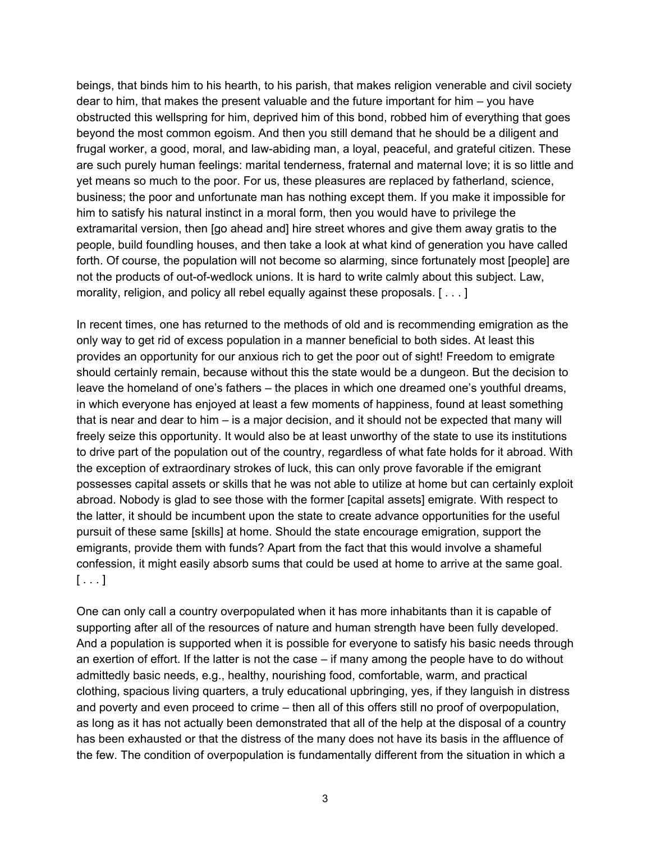beings, that binds him to his hearth, to his parish, that makes religion venerable and civil society dear to him, that makes the present valuable and the future important for him – you have obstructed this wellspring for him, deprived him of this bond, robbed him of everything that goes beyond the most common egoism. And then you still demand that he should be a diligent and frugal worker, a good, moral, and law-abiding man, a loyal, peaceful, and grateful citizen. These are such purely human feelings: marital tenderness, fraternal and maternal love; it is so little and yet means so much to the poor. For us, these pleasures are replaced by fatherland, science, business; the poor and unfortunate man has nothing except them. If you make it impossible for him to satisfy his natural instinct in a moral form, then you would have to privilege the extramarital version, then [go ahead and] hire street whores and give them away gratis to the people, build foundling houses, and then take a look at what kind of generation you have called forth. Of course, the population will not become so alarming, since fortunately most [people] are not the products of out-of-wedlock unions. It is hard to write calmly about this subject. Law, morality, religion, and policy all rebel equally against these proposals. [ . . . ]

In recent times, one has returned to the methods of old and is recommending emigration as the only way to get rid of excess population in a manner beneficial to both sides. At least this provides an opportunity for our anxious rich to get the poor out of sight! Freedom to emigrate should certainly remain, because without this the state would be a dungeon. But the decision to leave the homeland of one's fathers – the places in which one dreamed one's youthful dreams, in which everyone has enjoyed at least a few moments of happiness, found at least something that is near and dear to him – is a major decision, and it should not be expected that many will freely seize this opportunity. It would also be at least unworthy of the state to use its institutions to drive part of the population out of the country, regardless of what fate holds for it abroad. With the exception of extraordinary strokes of luck, this can only prove favorable if the emigrant possesses capital assets or skills that he was not able to utilize at home but can certainly exploit abroad. Nobody is glad to see those with the former [capital assets] emigrate. With respect to the latter, it should be incumbent upon the state to create advance opportunities for the useful pursuit of these same [skills] at home. Should the state encourage emigration, support the emigrants, provide them with funds? Apart from the fact that this would involve a shameful confession, it might easily absorb sums that could be used at home to arrive at the same goal.  $[ \ldots ]$ 

One can only call a country overpopulated when it has more inhabitants than it is capable of supporting after all of the resources of nature and human strength have been fully developed. And a population is supported when it is possible for everyone to satisfy his basic needs through an exertion of effort. If the latter is not the case – if many among the people have to do without admittedly basic needs, e.g., healthy, nourishing food, comfortable, warm, and practical clothing, spacious living quarters, a truly educational upbringing, yes, if they languish in distress and poverty and even proceed to crime – then all of this offers still no proof of overpopulation, as long as it has not actually been demonstrated that all of the help at the disposal of a country has been exhausted or that the distress of the many does not have its basis in the affluence of the few. The condition of overpopulation is fundamentally different from the situation in which a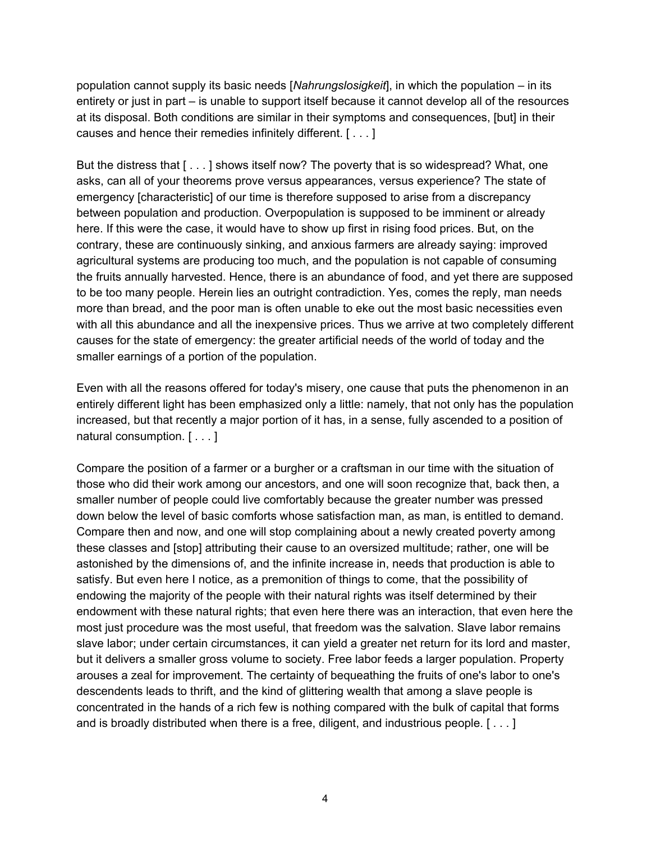population cannot supply its basic needs [*Nahrungslosigkeit*], in which the population – in its entirety or just in part – is unable to support itself because it cannot develop all of the resources at its disposal. Both conditions are similar in their symptoms and consequences, [but] in their causes and hence their remedies infinitely different. [ . . . ]

But the distress that  $[\ldots]$  shows itself now? The poverty that is so widespread? What, one asks, can all of your theorems prove versus appearances, versus experience? The state of emergency [characteristic] of our time is therefore supposed to arise from a discrepancy between population and production. Overpopulation is supposed to be imminent or already here. If this were the case, it would have to show up first in rising food prices. But, on the contrary, these are continuously sinking, and anxious farmers are already saying: improved agricultural systems are producing too much, and the population is not capable of consuming the fruits annually harvested. Hence, there is an abundance of food, and yet there are supposed to be too many people. Herein lies an outright contradiction. Yes, comes the reply, man needs more than bread, and the poor man is often unable to eke out the most basic necessities even with all this abundance and all the inexpensive prices. Thus we arrive at two completely different causes for the state of emergency: the greater artificial needs of the world of today and the smaller earnings of a portion of the population.

Even with all the reasons offered for today's misery, one cause that puts the phenomenon in an entirely different light has been emphasized only a little: namely, that not only has the population increased, but that recently a major portion of it has, in a sense, fully ascended to a position of natural consumption. [ . . . ]

Compare the position of a farmer or a burgher or a craftsman in our time with the situation of those who did their work among our ancestors, and one will soon recognize that, back then, a smaller number of people could live comfortably because the greater number was pressed down below the level of basic comforts whose satisfaction man, as man, is entitled to demand. Compare then and now, and one will stop complaining about a newly created poverty among these classes and [stop] attributing their cause to an oversized multitude; rather, one will be astonished by the dimensions of, and the infinite increase in, needs that production is able to satisfy. But even here I notice, as a premonition of things to come, that the possibility of endowing the majority of the people with their natural rights was itself determined by their endowment with these natural rights; that even here there was an interaction, that even here the most just procedure was the most useful, that freedom was the salvation. Slave labor remains slave labor; under certain circumstances, it can yield a greater net return for its lord and master, but it delivers a smaller gross volume to society. Free labor feeds a larger population. Property arouses a zeal for improvement. The certainty of bequeathing the fruits of one's labor to one's descendents leads to thrift, and the kind of glittering wealth that among a slave people is concentrated in the hands of a rich few is nothing compared with the bulk of capital that forms and is broadly distributed when there is a free, diligent, and industrious people. [ . . . ]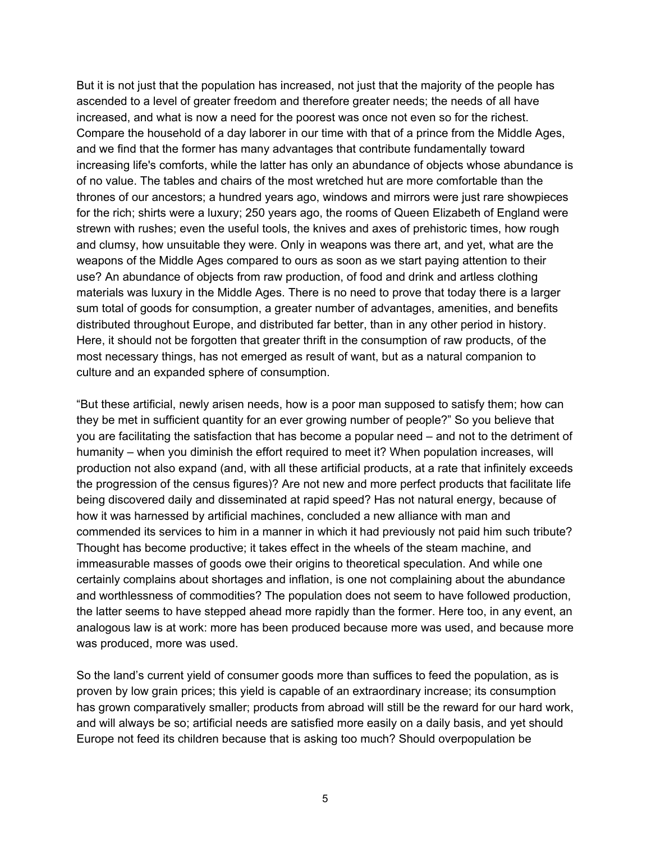But it is not just that the population has increased, not just that the majority of the people has ascended to a level of greater freedom and therefore greater needs; the needs of all have increased, and what is now a need for the poorest was once not even so for the richest. Compare the household of a day laborer in our time with that of a prince from the Middle Ages, and we find that the former has many advantages that contribute fundamentally toward increasing life's comforts, while the latter has only an abundance of objects whose abundance is of no value. The tables and chairs of the most wretched hut are more comfortable than the thrones of our ancestors; a hundred years ago, windows and mirrors were just rare showpieces for the rich; shirts were a luxury; 250 years ago, the rooms of Queen Elizabeth of England were strewn with rushes; even the useful tools, the knives and axes of prehistoric times, how rough and clumsy, how unsuitable they were. Only in weapons was there art, and yet, what are the weapons of the Middle Ages compared to ours as soon as we start paying attention to their use? An abundance of objects from raw production, of food and drink and artless clothing materials was luxury in the Middle Ages. There is no need to prove that today there is a larger sum total of goods for consumption, a greater number of advantages, amenities, and benefits distributed throughout Europe, and distributed far better, than in any other period in history. Here, it should not be forgotten that greater thrift in the consumption of raw products, of the most necessary things, has not emerged as result of want, but as a natural companion to culture and an expanded sphere of consumption.

"But these artificial, newly arisen needs, how is a poor man supposed to satisfy them; how can they be met in sufficient quantity for an ever growing number of people?" So you believe that you are facilitating the satisfaction that has become a popular need – and not to the detriment of humanity – when you diminish the effort required to meet it? When population increases, will production not also expand (and, with all these artificial products, at a rate that infinitely exceeds the progression of the census figures)? Are not new and more perfect products that facilitate life being discovered daily and disseminated at rapid speed? Has not natural energy, because of how it was harnessed by artificial machines, concluded a new alliance with man and commended its services to him in a manner in which it had previously not paid him such tribute? Thought has become productive; it takes effect in the wheels of the steam machine, and immeasurable masses of goods owe their origins to theoretical speculation. And while one certainly complains about shortages and inflation, is one not complaining about the abundance and worthlessness of commodities? The population does not seem to have followed production, the latter seems to have stepped ahead more rapidly than the former. Here too, in any event, an analogous law is at work: more has been produced because more was used, and because more was produced, more was used.

So the land's current yield of consumer goods more than suffices to feed the population, as is proven by low grain prices; this yield is capable of an extraordinary increase; its consumption has grown comparatively smaller; products from abroad will still be the reward for our hard work, and will always be so; artificial needs are satisfied more easily on a daily basis, and yet should Europe not feed its children because that is asking too much? Should overpopulation be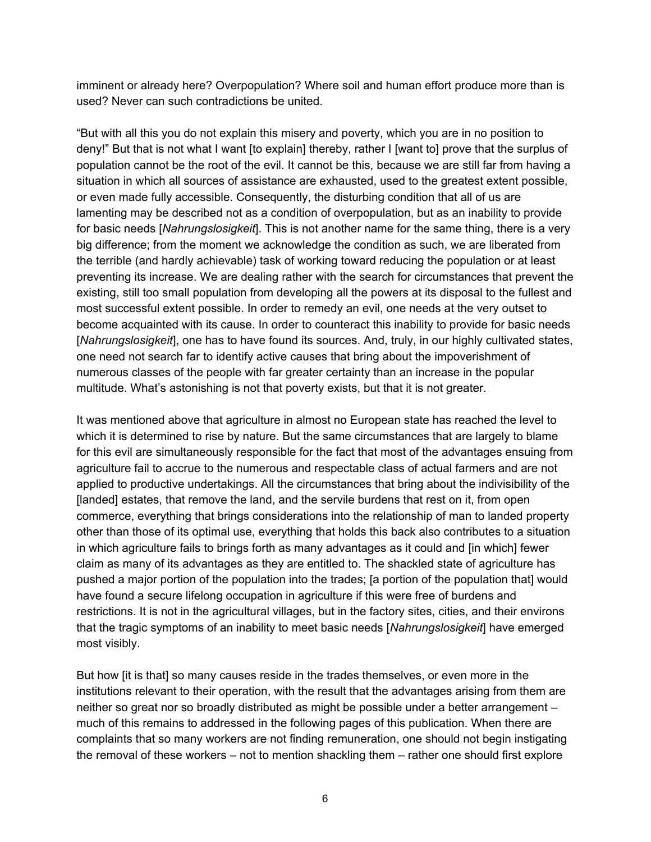imminent or already here? Overpopulation? Where soil and human effort produce more than is used? Never can such contradictions be united.

"But with all this you do not explain this misery and poverty, which you are in no position to deny!" But that is not what I want [to explain] thereby, rather I [want to] prove that the surplus of population cannot be the root of the evil. It cannot be this, because we are still far from having a situation in which all sources of assistance are exhausted, used to the greatest extent possible, or even made fully accessible. Consequently, the disturbing condition that all of us are lamenting may be described not as a condition of overpopulation, but as an inability to provide for basic needs [*Nahrungslosigkeit*]. This is not another name for the same thing, there is a very big difference; from the moment we acknowledge the condition as such, we are liberated from the terrible (and hardly achievable) task of working toward reducing the population or at least preventing its increase. We are dealing rather with the search for circumstances that prevent the existing, still too small population from developing all the powers at its disposal to the fullest and most successful extent possible. In order to remedy an evil, one needs at the very outset to become acquainted with its cause. In order to counteract this inability to provide for basic needs [*Nahrungslosigkeit*], one has to have found its sources. And, truly, in our highly cultivated states, one need not search far to identify active causes that bring about the impoverishment of numerous classes of the people with far greater certainty than an increase in the popular multitude. What's astonishing is not that poverty exists, but that it is not greater.

It was mentioned above that agriculture in almost no European state has reached the level to which it is determined to rise by nature. But the same circumstances that are largely to blame for this evil are simultaneously responsible for the fact that most of the advantages ensuing from agriculture fail to accrue to the numerous and respectable class of actual farmers and are not applied to productive undertakings. All the circumstances that bring about the indivisibility of the [landed] estates, that remove the land, and the servile burdens that rest on it, from open commerce, everything that brings considerations into the relationship of man to landed property other than those of its optimal use, everything that holds this back also contributes to a situation in which agriculture fails to brings forth as many advantages as it could and [in which] fewer claim as many of its advantages as they are entitled to. The shackled state of agriculture has pushed a major portion of the population into the trades; [a portion of the population that] would have found a secure lifelong occupation in agriculture if this were free of burdens and restrictions. It is not in the agricultural villages, but in the factory sites, cities, and their environs that the tragic symptoms of an inability to meet basic needs [*Nahrungslosigkeit*] have emerged most visibly.

But how [it is that] so many causes reside in the trades themselves, or even more in the institutions relevant to their operation, with the result that the advantages arising from them are neither so great nor so broadly distributed as might be possible under a better arrangement – much of this remains to addressed in the following pages of this publication. When there are complaints that so many workers are not finding remuneration, one should not begin instigating the removal of these workers – not to mention shackling them – rather one should first explore